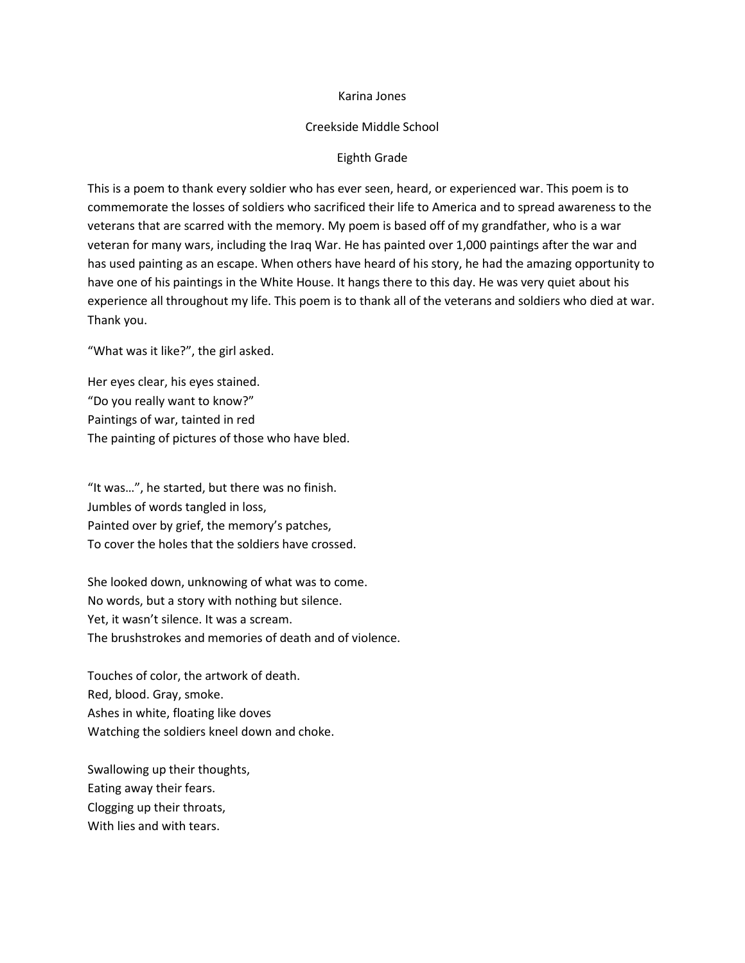## Karina Jones

## Creekside Middle School

# Eighth Grade

This is a poem to thank every soldier who has ever seen, heard, or experienced war. This poem is to commemorate the losses of soldiers who sacrificed their life to America and to spread awareness to the veterans that are scarred with the memory. My poem is based off of my grandfather, who is a war veteran for many wars, including the Iraq War. He has painted over 1,000 paintings after the war and has used painting as an escape. When others have heard of his story, he had the amazing opportunity to have one of his paintings in the White House. It hangs there to this day. He was very quiet about his experience all throughout my life. This poem is to thank all of the veterans and soldiers who died at war. Thank you.

"What was it like?", the girl asked.

Her eyes clear, his eyes stained. "Do you really want to know?" Paintings of war, tainted in red The painting of pictures of those who have bled.

"It was…", he started, but there was no finish. Jumbles of words tangled in loss, Painted over by grief, the memory's patches, To cover the holes that the soldiers have crossed.

She looked down, unknowing of what was to come. No words, but a story with nothing but silence. Yet, it wasn't silence. It was a scream. The brushstrokes and memories of death and of violence.

Touches of color, the artwork of death. Red, blood. Gray, smoke. Ashes in white, floating like doves Watching the soldiers kneel down and choke.

Swallowing up their thoughts, Eating away their fears. Clogging up their throats, With lies and with tears.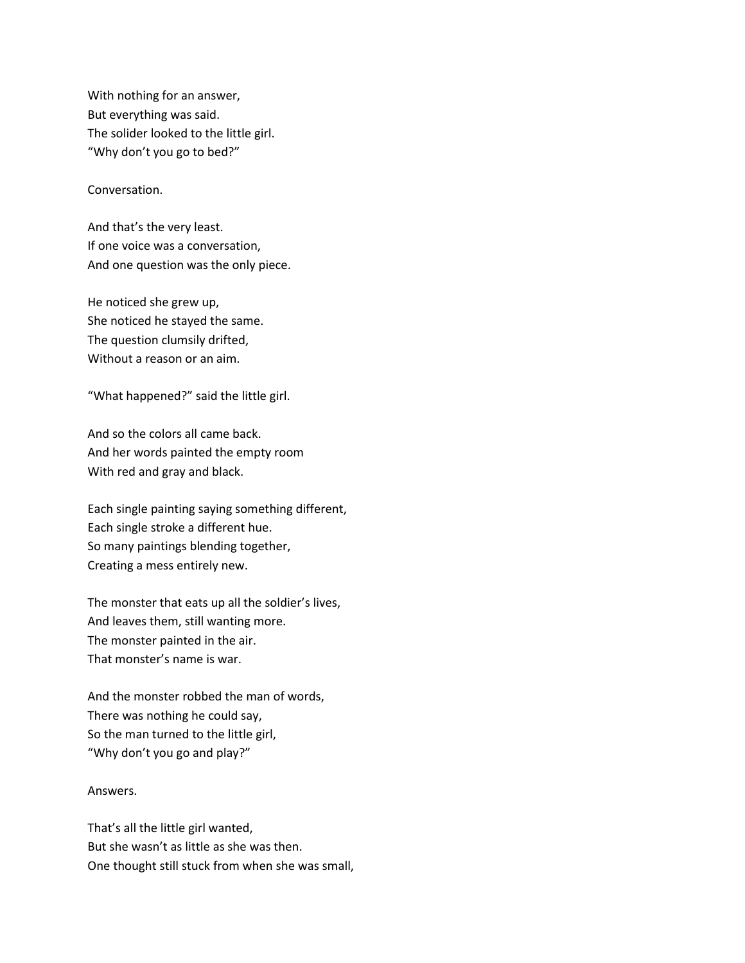With nothing for an answer, But everything was said. The solider looked to the little girl. "Why don't you go to bed?"

#### Conversation.

And that's the very least. If one voice was a conversation, And one question was the only piece.

He noticed she grew up, She noticed he stayed the same. The question clumsily drifted, Without a reason or an aim.

"What happened?" said the little girl.

And so the colors all came back. And her words painted the empty room With red and gray and black.

Each single painting saying something different, Each single stroke a different hue. So many paintings blending together, Creating a mess entirely new.

The monster that eats up all the soldier's lives, And leaves them, still wanting more. The monster painted in the air. That monster's name is war.

And the monster robbed the man of words, There was nothing he could say, So the man turned to the little girl, "Why don't you go and play?"

### Answers.

That's all the little girl wanted, But she wasn't as little as she was then. One thought still stuck from when she was small,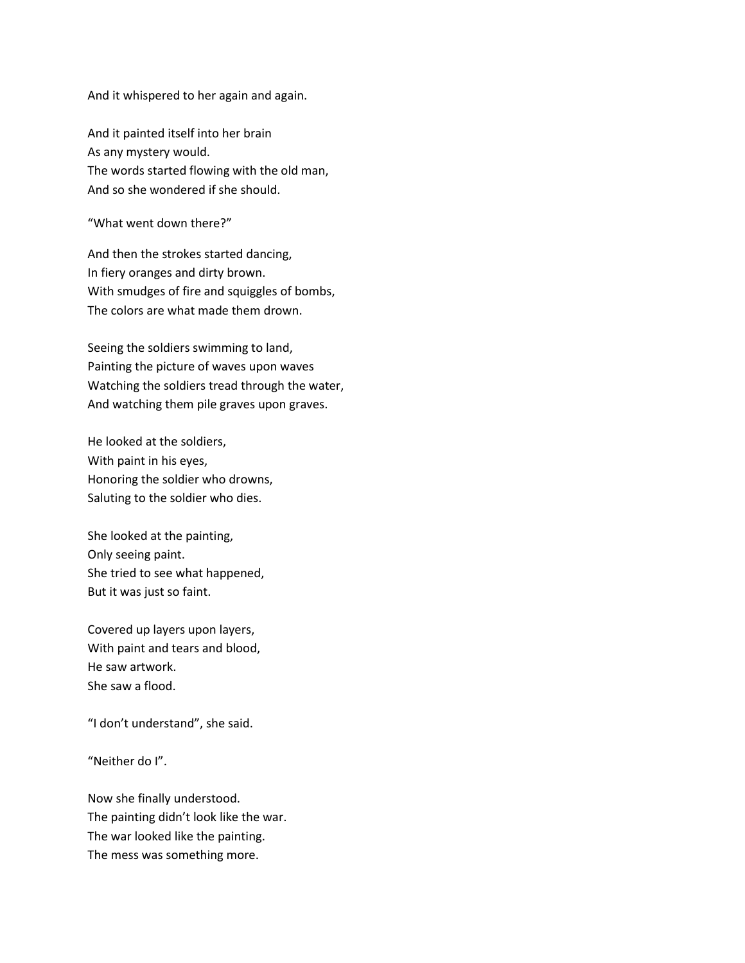And it whispered to her again and again.

And it painted itself into her brain As any mystery would. The words started flowing with the old man, And so she wondered if she should.

"What went down there?"

And then the strokes started dancing, In fiery oranges and dirty brown. With smudges of fire and squiggles of bombs, The colors are what made them drown.

Seeing the soldiers swimming to land, Painting the picture of waves upon waves Watching the soldiers tread through the water, And watching them pile graves upon graves.

He looked at the soldiers, With paint in his eyes, Honoring the soldier who drowns, Saluting to the soldier who dies.

She looked at the painting, Only seeing paint. She tried to see what happened, But it was just so faint.

Covered up layers upon layers, With paint and tears and blood, He saw artwork. She saw a flood.

"I don't understand", she said.

"Neither do I".

Now she finally understood. The painting didn't look like the war. The war looked like the painting. The mess was something more.